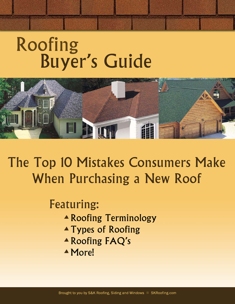# Roofing **Buyer's Guide**



The Top 10 Mistakes Consumers Make When Purchasing a New Roof

# **Featuring:**

- ▲ Roofing Terminology
- ▲ Types of Roofing
- ▲ Roofing FAQ's
- $\triangle$  More!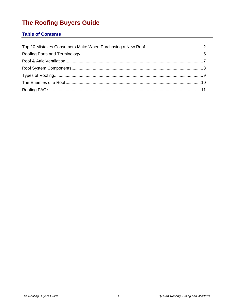# The Roofing Buyers Guide

# **Table of Contents**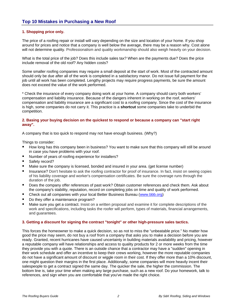# **Top 10 Mistakes in Purchasing a New Roof**

#### **1. Shopping price only.**

The price of a roofing repair or install will vary depending on the size and location of your home. If you shop around for prices and notice that a company is well below the average, there may be a reason why. Cost alone will not determine quality. Professionalism and quality workmanship should also weigh heavily on your decision.

What is the total price of the job? Does this include sales tax? When are the payments due? Does the price include removal of the old roof? Any hidden costs?

Some smaller roofing companies may require a small deposit at the start of work. Most of the contracted amount should only be due after all of the work is completed in a satisfactory manor. Do not issue full payment for the job until all work has been completed. Lengthy projects may require progress payments, be sure the amount does not exceed the value of the work performed.

\* Check the insurance of every company doing work at your home. A company should carry both workers' compensation and liability insurance. Because of the dangers inherent in working on the roof, workers' compensation and liability insurance are a significant cost to a roofing company. Since the cost of the insurance is high, some companies do not carry it. This practice is a **shortcut** some companies take to underbid the competition.

#### **2. Basing your buying decision on the quickest to respond or because a company can "start right away".**

A company that is too quick to respond may not have enough business. (Why?)

Things to consider:

- How long has this company been in business? You want to make sure that this company will still be around in case you have problems with your roof.
- Number of years of roofing experience for installers?
- Safety record?
- Make sure the company is licensed, bonded and insured in your area. (get license number)
- Insurance? Don't hesitate to ask the roofing contractor for proof of insurance. In fact, insist on seeing copies of his liability coverage and worker's compensation certificates. Be sure the coverage runs through the duration of the job.
- Does the company offer references of past work? Obtain customer references and check them. Ask about the company's stability, reputation, record on completing jobs on time and quality of work performed.
- Check out all companies with your local Better Business Bureau (www.bbb.org)
- Do they offer a maintenance program?
- Make sure you get a contract. Insist on a written proposal and examine it for complete descriptions of the work and specifications, including tasks the roofer will perform, types of materials, financial arrangements, and guarantees.

#### **3. Getting a discount for signing the contract "tonight" or other high-pressure sales tactics.**

This forces the homeowner to make a quick decision, so as not to miss the "unbeatable price." No matter how good the price may seem, do not buy a roof from a company that asks you to make a decision before you are ready. Granted, recent hurricanes have caused uncertainty in building materials availability and pricing, however a reputable company will have relationships and access to quality products for 2 or more weeks from the time they provide you with a quote. There is an outside chance that a contractor may have a "sudden" opening in their work schedule and offer an incentive to keep their crews working, however the more reputable companies do not have a significant amount of discount or wiggle room in their cost. If they offer more than a 10% discount, one might question their margins in the first place. Additionally, some companies will more heavily incent their salespeople to get a contract signed the same day. The quicker the sale, the higher the commission. The bottom line is, take your time when making any large purchase, such as a new roof. Do your homework, talk to references, and sign when you are comfortable that you've made the right choice.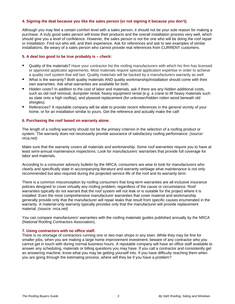#### **4. Signing the deal because you like the sales person (or not signing it because you don't).**

Although you may feel a certain comfort level with a sales person, it should not be your sole reason for making a purchase. A truly good sales person will know their products and the overall installation process very well, which should give you a level of confidence. However, the sales person is not the one who will be doing the roof repair or installation. Find out who will, and their experience. Ask for references and ask to see examples of similar installations. Be weary of a sales person who cannot provide real references from CURRENT customers.

#### **5. A deal too good to be true probably is – check:**

- Quality of the materials? Have your contractor list the roofing manufacturers with which his firm has licensed or approved applicator agreements. Most materials require special application expertise in order to achieve a quality roof system that will last. Quality materials will be backed by a manufacturers warranty as well.
- What is the warranty? Both quality materials AND quality workmanship/installation should come with their own warranties. Ask what warranties are available for both.
- Hidden costs? In addition to the cost of labor and materials, ask if there are any hidden additional costs, such as old roof removal, dumpster rental, heavy equipment rental (e.g. a crane to lift heavy materials such as slate onto a high rooftop), and plywood replacement (for unknown/hidden rotten wood beneath old shingles).
- **EXECT** References? A reputable company will be able to provide recent references in the general vicinity of your home, or for an installation similar to yours. Get the reference and actually make the call!

#### **6. Purchasing the roof based on warranty alone.**

The length of a roofing warranty should not be the *primary* criterion in the selection of a roofing product or system. The warranty does not necessarily provide assurance of satisfactory roofing performance. *(source: nrca.net)*

Make sure that the warranty covers all materials and workmanship. Some roof warranties require you to have at least semi-annual maintenance inspections. Look for manufacturers' warranties that provide full coverage for labor and materials.

According to a consumer advisory bulletin by the NRCA, consumers are wise to look for manufacturers who clearly and specifically state in accompanying literature and warranty verbiage what maintenance is not only recommended but also required during the projected service life of the roof and its warranty term.

There is a common misconception by roofing consumers that long-term warranties are all-inclusive insurance policies designed to cover virtually any roofing problem, regardless of the cause or circumstance. Roof warranties typically do not warrant that the roof system will not leak or is suitable for the project where it is installed. Even the most comprehensive manufacturer warranties that cover material and workmanship generally provide only that the manufacturer will repair leaks that result from specific causes enumerated in the warranty. A material-only warranty typically provides only that the manufacturer will provide replacement material. *(source: nrca.net)*

You can compare manufacturers' warranties with the roofing materials guides published annually by the NRCA (National Roofing Contractors Association).

#### **7. Using contractors with no office staff.**

There is no shortage of contractors running one or two-man shops in any town. While they may be fine for smaller jobs, when you are making a large home improvement investment, beware of any contractor who you cannot get in touch with during normal business hours. A reputable company will have an office staff available to answer any scheduling, materials or billing questions you may have. If you call a contractor and consistently get an answering machine, know what you may be getting yourself into. If you have difficulty reaching them when you are going through the estimating process, where will they be if you have a problem?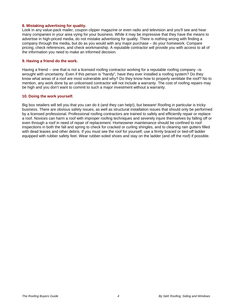#### **8. Mistaking advertising for quality.**

Look in any value-pack mailer, coupon clipper magazine or even radio and television and you'll see and hear many companies in your area vying for your business. While it may be impressive that they have the means to advertise in high-priced media, do not mistake advertising for quality. There is nothing wrong with finding a company through the media, but do as you would with any major purchase – do your homework. Compare pricing, check references, and check workmanship. A reputable contractor will provide you with access to all of the information you need to make an informed decision.

#### **9. Having a friend do the work.**

Having a friend -- one that is not a licensed roofing contractor working for a reputable roofing company -is wrought with uncertainty. Even if this person is "handy", have they ever installed a roofing system? Do they know what areas of a roof are most vulnerable and why? Do they know how to properly ventilate the roof? No to mention, any work done by an unlicensed contractor will not include a warranty. The cost of roofing repairs may be high and you don't want to commit to such a major investment without a warranty.

#### **10. Doing the work yourself.**

Big box retailers will tell you that you can do it (and they can help!), but beware! Roofing in particular is tricky business. There are obvious safety issues, as well as structural installation issues that should only be performed by a licensed professional. Professional roofing contractors are trained to safely and efficiently repair or replace a roof. Novices can harm a roof with improper roofing techniques and severely injure themselves by falling off or even through a roof in need of repair of replacement. Homeowner maintenance should be confined to roof inspections in both the fall and spring to check for cracked or curling shingles, and to cleaning rain gutters filled with dead leaves and other debris. If you must see the roof for yourself, use a firmly braced or tied-off ladder equipped with rubber safety feet. Wear rubber-soled shoes and stay on the ladder (and off the roof) if possible.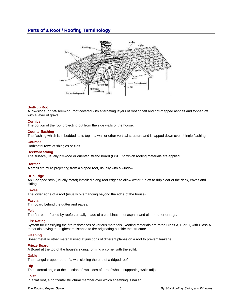# **Parts of a Roof / Roofing Terminology**



#### **Built-up Roof**

A low-slope (or flat-seeming) roof covered with alternating layers of roofing felt and hot-mapped asphalt and topped off with a layer of gravel.

#### **Cornice**

The portion of the roof projecting out from the side walls of the house.

#### **Counterflashing**

The flashing which is imbedded at its top in a wall or other vertical structure and is lapped down over shingle flashing.

#### **Courses**

Horizontal rows of shingles or tiles.

#### **Deck/sheathing**

The surface, usually plywood or oriented strand board (OSB), to which roofing materials are applied.

#### **Dormer**

A small structure projecting from a sloped roof, usually with a window.

#### **Drip Edge**

An L-shaped strip (usually metal) installed along roof edges to allow water run off to drip clear of the deck, eaves and siding.

#### **Eaves**

The lower edge of a roof (usually overhanging beyond the edge of the house).

#### **Fascia**

Trimboard behind the gutter and eaves.

#### **Felt**

The "tar paper" used by roofer, usually made of a combination of asphalt and either paper or rags.

#### **Fire Rating**

System for classifying the fire resistances of various materials. Roofing materials are rated Class A, B or C, with Class A materials having the highest resistance to fire originating outside the structure.

#### **Flashing**

Sheet metal or other material used at junctions of different planes on a roof to prevent leakage.

#### **Frieze Board**

A Board at the top of the house's siding, forming a corner with the soffit.

#### **Gable**

The triangular upper part of a wall closing the end of a ridged roof

#### **Hip**

The external angle at the junction of two sides of a roof whose supporting walls adjoin.

#### **Joist**

In a flat roof, a horizontal structural member over which sheathing is nailed.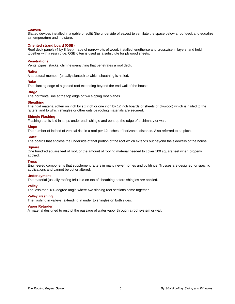#### **Louvers**

Slatted devices installed in a gable or soffit (the underside of eaves) to ventilate the space below a roof deck and equalize air temperature and moisture.

#### **Oriented strand board (OSB)**

Roof deck panels (4 by 8 feet) made of narrow bits of wood, installed lengthwise and crosswise in layers, and held together with a resin glue. OSB often is used as a substitute for plywood sheets.

#### **Penetrations**

Vents, pipes, stacks, chimneys-anything that penetrates a roof deck.

#### **Rafter**

A structural member (usually slanted) to which sheathing is nailed.

#### **Rake**

The slanting edge of a gabled roof extending beyond the end wall of the house.

#### **Ridge**

The horizontal line at the top edge of two sloping roof planes.

#### **Sheathing**

The rigid material (often on inch by six inch or one inch by 12 inch boards or sheets of plywood) which is nailed to the rafters, and to which shingles or other outside roofing materials are secured.

#### **Shingle Flashing**

Flashing that is laid in strips under each shingle and bent up the edge of a chimney or wall.

#### **Slope**

The number of inched of vertical rise in a roof per 12 inches of horizontal distance. Also referred to as pitch.

#### **Soffit**

The boards that enclose the underside of that portion of the roof which extends out beyond the sidewalls of the house.

#### **Square**

One hundred square feet of roof, or the amount of roofing material needed to cover 100 square feet when properly applied.

#### **Truss**

Engineered components that supplement rafters in many newer homes and buildings. Trusses are designed for specific applications and cannot be cut or altered.

#### **Underlayment**

The material (usually roofing felt) laid on top of sheathing before shingles are applied.

#### **Valley**

The less-than 180-degree angle where two sloping roof sections come together.

#### **Valley Flashing**

The flashing in valleys, extending in under to shingles on both sides.

#### **Vapor Retarder**

A material designed to restrict the passage of water vapor through a roof system or wall.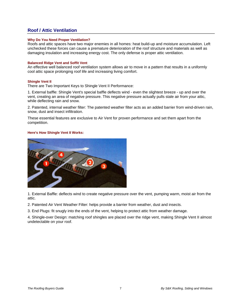# **Roof / Attic Ventilation**

#### **Why Do You Need Proper Ventilation?**

Roofs and attic spaces have two major enemies in all homes: heat build-up and moisture accumulation. Left unchecked these forces can cause a premature deterioration of the roof structure and materials as well as damaging insulation and increasing energy cost. The only defense is proper attic ventilation.

#### **Balanced Ridge Vent and Soffit Vent**

An effective well balanced roof ventilation system allows air to move in a pattern that results in a uniformly cool attic space prolonging roof life and increasing living comfort.

#### **Shingle Vent II**

There are Two Important Keys to Shingle Vent II Performance:

1. External baffle: Shingle Vent's special baffle deflects wind - even the slightest breeze - up and over the vent, creating an area of negative pressure. This negative pressure actually pulls stale air from your attic, while deflecting rain and snow.

2. Patented, internal weather filter: The patented weather filter acts as an added barrier from wind-driven rain, snow, dust and insect infiltration.

These essential features are exclusive to Air Vent for proven performance and set them apart from the competition.

#### **Here's How Shingle Vent II Works:**



1. External Baffle: deflects wind to create negative pressure over the vent, pumping warm, moist air from the attic.

2. Patented Air Vent Weather Filter: helps provide a barrier from weather, dust and insects.

3. End Plugs: fit snugly into the ends of the vent, helping to protect attic from weather damage.

4. Shingle-over Design: matching roof shingles are placed over the ridge vent, making Shingle Vent II almost undetectable on your roof.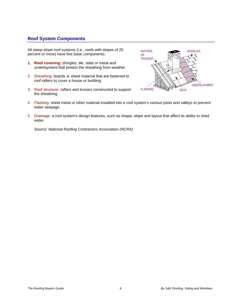# **Roof System Components**

All steep-slope roof systems (i.e., roofs with slopes of 25 percent or more) have five basic components:

- **1. Roof covering:** shingles, tile, slate or metal and underlayment that protect the sheathing from weather.
- 2. Sheathing: boards or sheet material that are fastened to roof rafters to cover a house or building.
- 3. Roof structure: rafters and trusses constructed to support the sheathing.



- 4. Flashing: sheet metal or other material installed into a roof system's various joints and valleys to prevent water seepage.
- 5. Drainage: a roof system's design features, such as shape, slope and layout that affect its ability to shed water.

*Source: National Roofing Contractors Association (NCRA)*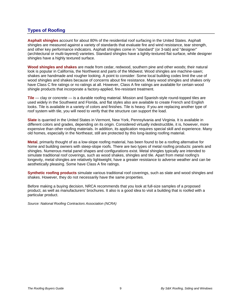# **Types of Roofing**

**Asphalt shingles** account for about 80% of the residential roof surfacing in the United States. Asphalt shingles are measured against a variety of standards that evaluate fire and wind resistance, tear strength, and other key performance indicators. Asphalt shingles come in "standard" (or 3-tab) and "designer" (architectural or multi-layered) varieties. Standard shingles have a lightly-textured flat surface, while designer shingles have a highly textured surface.

**Wood shingles and shakes** are made from cedar, redwood, southern pine and other woods; their natural look is popular in California, the Northwest and parts of the Midwest. Wood shingles are machine-sawn; shakes are handmade and rougher looking. A point to consider: Some local building codes limit the use of wood shingles and shakes because of concerns about fire resistance. Many wood shingles and shakes only have Class C fire ratings or no ratings at all. However, Class A fire ratings are available for certain wood shingle products that incorporate a factory-applied, fire-resistant treatment.

**Tile** — clay or concrete — is a durable roofing material. Mission and Spanish-style round-topped tiles are used widely in the Southwest and Florida, and flat styles also are available to create French and English looks. Tile is available in a variety of colors and finishes. Tile is heavy. If you are replacing another type of roof system with tile, you will need to verify that the structure can support the load.

**Slate** is quarried in the United States in Vermont, New York, Pennsylvania and Virginia. It is available in different colors and grades, depending on its origin. Considered virtually indestructible, it is, however, more expensive than other roofing materials. In addition, its application requires special skill and experience. Many old homes, especially in the Northeast, still are protected by this long-lasting roofing material.

**Metal**, primarily thought of as a low-slope roofing material, has been found to be a roofing alternative for home and building owners with steep-slope roofs. There are two types of metal roofing products: panels and shingles. Numerous metal panel shapes and configurations exist. Metal shingles typically are intended to simulate traditional roof coverings, such as wood shakes, shingles and tile. Apart from metal roofing's longevity, metal shingles are relatively lightweight, have a greater resistance to adverse weather and can be aesthetically pleasing. Some have Class A fire ratings.

**Synthetic roofing products** simulate various traditional roof coverings, such as slate and wood shingles and shakes. However, they do not necessarily have the same properties.

Before making a buying decision, NRCA recommends that you look at full-size samples of a proposed product, as well as manufacturers' brochures. It also is a good idea to visit a building that is roofed with a particular product.

*Source: National Roofing Contractors Association (NCRA)*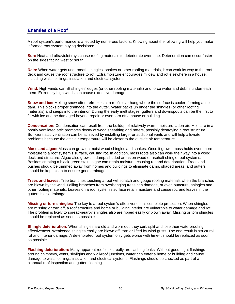### **Enemies of a Roof**

A roof system's performance is affected by numerous factors. Knowing about the following will help you make informed roof system buying decisions:

**Sun:** Heat and ultraviolet rays cause roofing materials to deteriorate over time. Deterioration can occur faster on the sides facing west or south.

**Rain:** When water gets underneath shingles, shakes or other roofing materials, it can work its way to the roof deck and cause the roof structure to rot. Extra moisture encourages mildew and rot elsewhere in a house, including walls, ceilings, insulation and electrical systems.

**Wind:** High winds can lift shingles' edges (or other roofing materials) and force water and debris underneath them. Extremely high winds can cause extensive damage.

**Snow and ice:** Melting snow often refreezes at a roof's overhang where the surface is cooler, forming an ice dam. This blocks proper drainage into the gutter. Water backs up under the shingles (or other roofing materials) and seeps into the interior. During the early melt stages, gutters and downspouts can be the first to fill with ice and be damaged beyond repair or even torn off a house or building.

**Condensation:** Condensation can result from the buildup of relatively warm, moisture-laden air. Moisture in a poorly ventilated attic promotes decay of wood sheathing and rafters, possibly destroying a roof structure. Sufficient attic ventilation can be achieved by installing larger or additional vents and will help alleviate problems because the attic air temperature will be closer to the outside air temperature.

**Moss and algae:** Moss can grow on moist wood shingles and shakes. Once it grows, moss holds even more moisture to a roof system's surface, causing rot. In addition, moss roots also can work their way into a wood deck and structure. Algae also grows in damp, shaded areas on wood or asphalt shingle roof systems. Besides creating a black-green stain, algae can retain moisture, causing rot and deterioration. Trees and bushes should be trimmed away from homes and buildings to eliminate damp, shaded areas, and gutters should be kept clean to ensure good drainage.

**Trees and leaves:** Tree branches touching a roof will scratch and gouge roofing materials when the branches are blown by the wind. Falling branches from overhanging trees can damage, or even puncture, shingles and other roofing materials. Leaves on a roof system's surface retain moisture and cause rot, and leaves in the gutters block drainage.

**Missing or torn shingles:** The key to a roof system's effectiveness is complete protection. When shingles are missing or torn off, a roof structure and home or building interior are vulnerable to water damage and rot. The problem is likely to spread-nearby shingles also are ripped easily or blown away. Missing or torn shingles should be replaced as soon as possible.

**Shingle deterioration:** When shingles are old and worn out, they curl, split and lose their waterproofing effectiveness. Weakened shingles easily are blown off, torn or lifted by wind gusts. The end result is structural rot and interior damage. A deteriorated roof system only gets worse with time-it should be replaced as soon as possible.

**Flashing deterioration:** Many apparent roof leaks really are flashing leaks. Without good, tight flashings around chimneys, vents, skylights and wall/roof junctions, water can enter a home or building and cause damage to walls, ceilings, insulation and electrical systems. Flashings should be checked as part of a biannual roof inspection and gutter cleaning.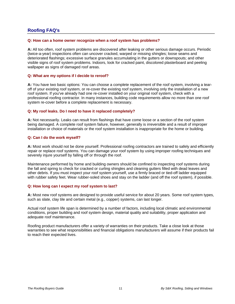# **Roofing FAQ's**

#### **Q: How can a home owner recognize when a roof system has problems?**

**A:** All too often, roof system problems are discovered after leaking or other serious damage occurs. Periodic (twice-a-year) inspections often can uncover cracked, warped or missing shingles; loose seams and deteriorated flashings; excessive surface granules accumulating in the gutters or downspouts; and other visible signs of roof system problems. Indoors, look for cracked paint, discolored plasterboard and peeling wallpaper as signs of damaged roof areas.

#### **Q: What are my options if I decide to reroof?**

**A:** You have two basic options: You can choose a complete replacement of the roof system, involving a tearoff of your existing roof system, or re-cover the existing roof system, involving only the installation of a new roof system. If you've already had one re-cover installed on your original roof system, check with a professional roofing contractor. In many instances, building code requirements allow no more than one roof system re-cover before a complete replacement is necessary.

#### **Q: My roof leaks. Do I need to have it replaced completely?**

**A:** Not necessarily. Leaks can result from flashings that have come loose or a section of the roof system being damaged. A complete roof system failure, however, generally is irreversible and a result of improper installation or choice of materials or the roof system installation is inappropriate for the home or building.

#### **Q: Can I do the work myself?**

**A:** Most work should not be done yourself. Professional roofing contractors are trained to safely and efficiently repair or replace roof systems. You can damage your roof system by using improper roofing techniques and severely injure yourself by falling off or through the roof.

Maintenance performed by home and building owners should be confined to inspecting roof systems during the fall and spring to check for cracked or curling shingles and cleaning gutters filled with dead leaves and other debris. If you must inspect your roof system yourself, use a firmly braced or tied-off ladder equipped with rubber safety feet. Wear rubber-soled shoes and stay on the ladder (and off the roof system), if possible.

#### **Q: How long can I expect my roof system to last?**

**A:** Most new roof systems are designed to provide useful service for about 20 years. Some roof system types, such as slate, clay tile and certain metal (e.g., copper) systems, can last longer.

Actual roof system life span is determined by a number of factors, including local climatic and environmental conditions, proper building and roof system design, material quality and suitability, proper application and adequate roof maintenance.

Roofing product manufacturers offer a variety of warranties on their products. Take a close look at those warranties to see what responsibilities and financial obligations manufacturers will assume if their products fail to reach their expected lives.